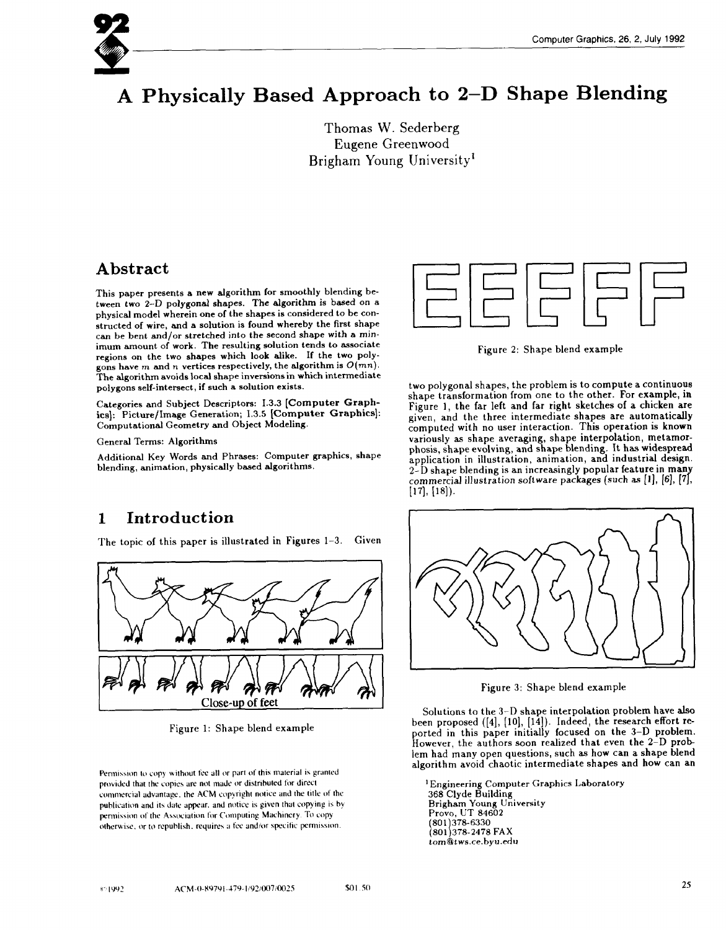# **A Physically Based Approach to 2–D Shape Blending**

Thomas W. Sederberg Eugene Greenwood Brigham Young University<sup>1</sup>

# **Abstract**

This paper presents a new algorithm for smoothly blending between two 2-D polygonal shapes. The algorithm is based on **a** physical model wherein one of the shapes is considered to be constructed of wire, and a solution is found whereby the first shape can be bent and/or stretched into the second shape with a minimum amount of work. The resulting solution tends to associate regions on the two shapes which look alike. If the two polYgons have m and n vertices respectively, the algorithm is  $O(mn)$ . The algorithm avoids local shape inversions in which intermediate polygons self-intersect, if such a solution exists.

Categories and Subject Descriptors: 1.3.3 **[Computer Graph**ics]: Picture/Image Generation; 1.3.5 [Computer Graphics]: Computational Geometry and Object Modeling.

General Terms: Algorithms

Additional Key Words and Phrases: Computer graphics, shape blending, animation, physically based algorithms.



Figure 2: Shape blend example

two polygonal shapes, the problem is to compute a continuous shape transformation from one to the other. For example, in Figure 1, the far left and far tight sketches of a chicken are given, and the three intermediate shapes are automatica computed with no user interaction. This operation is known variously as shape averaging, shape interpolation, metamorphosis, shape evolving, and shape blending. It has widespread application in illustration, animation, and industrial design. 2-D shape blending is an increasingly popular feature in many commercial illustration software packages (such as  $[1]$ ,  $[6]$ ,  $[7]$ ,  $[18]$ ).

# **1 Introduction**

The topic of this paper is illustrated in Figures 1-3. Given



Figure 1: Shape blend example

Permission to copy without fee all or part of this material is granted provided that the copies are not made or distributed for direct commercial advantage, the ACM copyright notice and the title of the publication and its date appear, and notice is given that copying is by permission of the Association for Computing Machinery. To copy otherwise, or to republish, requires a fee and/or specific permission.



Figure 3: Shape blend example

Solutions to the 3-D shape interpolation problem have also been proposed ([4], [10], [14]). Indeed, the research effort reported in this paper initially focused on the 3–D problem. However, the authors soon realized that even the 2-D problem had many open questions, such as how can a shape blend algorithm avoid chaotic intermediate shapes and how can an

<sup>1</sup> Engineering Computer Graphics Laboratory 368 Clyde Building Brigham Young University Provo, UT **84602 H 801 378-2478** FAX **801 378-6330** *tom@tws.ce.byu.edu*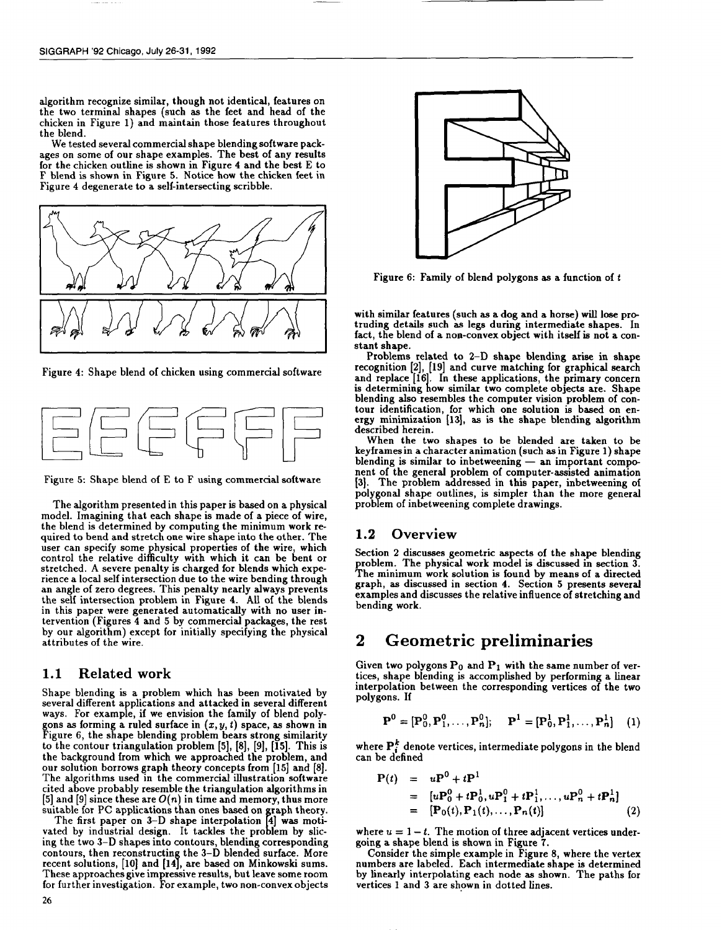algorithm recognize similar, though not identical, features on the two terminal shapes (such as the feet and head of the chicken in Figure 1) and maintain those features throughout the blend.

We tested several commercial shape blending software packages on some of our shape examples. The best of any results for the chicken outline is shown in Figure 4 and the best E to F blend is shown in Figure 5. Notice how the chicken feet in Figure 4 degenerate to a self-intersecting scribble.



Figure 4: Shape blend of chicken using commercial software



Figure 5: Shape blend of E to F using commercial software

The algorithm presented in this paper is baaed on a physical model. Imagining that each shape is made of a piece of wire, the blend is determined by computing the minimum work required to bend and stretch one wire shape into the other. The user can specify some physical properties of the wire, which control the relative difficulty with which it can be bent or stretched. A severe penalty is charged for blends which experience a local self intersection due to the wire bending through an angle of zero degrees. This penalty nearly always prevent the self intersection problem in Figure 4. All of the blend in this paper were generated automatically with no user intervention (Figures 4 and 5 by commercial packages, the rest by our algorithm) except for initially specifying the physical attributes of the wire.

#### **1.1** Related work

Shape blending is a problem which has been motivated by several different applications and attacked in several different ways. For example, if we envision the family of blend polygons as forming a ruled surface in  $(x, y, t)$  space, as shown in Figure 6, the shape blending problem bears strong similarit to the contour triangulation problem [5], [8], [9], [15]. This is the background from which we approached the problem, and our solution borrows graph theory concepts from [15] and [8]. The algorithms used in the commercial illustration software cited above probably resemble the triangulation algorithms in [5] and [9] since these are  $O(n)$  in time and memory, thus more suitable for PC applications than ones based on graph theory.

vated by industrial design. It tackles the problem by slic-The first paper on  $3-D$  shape interpolation  $[4]$  was motiing the two 3–D shapes into contours, blending correspondi contours, then reconstructing the 3–D blended surface. More recent solutions, [10] and [14], are based on Minkowski sums These approaches give impressive results, but leave some room for further investigation. For example, two non-convex objects



Figure 6: Family of blend polygons as a function of  $t$ 

with similar features (such aa a dog and a horse) will lose protruding details such as legs during intermediate shapes. In fact, the blend of a non-convex object with itself is not a constant shape.

Problems related to 2–D shape blending arise in shape recognition [2], [19] and curve matching for graphical search **h** and replace [16]. In these applications, the primary concer is determining how similar two complete objects are. Shap blending also resembles the computer vision problem of contour identification, for which one solution is based on energy minimization [13], as is the shape blending algorith described herein.

When the two shapes to be blended are taken to be key frames in a character animation (such as in Figure 1) shape blending is similar to inbetweening — an important component of the general problem of computer-assisted animation [3). The problem addressed in this paper, inbetweening of polygonal shape outlines, is simpler than the more general problem of inbetweening complete drawings.

#### **1.2** Overview

Section 2 discusses geometric aspects of the shape blending problem. The physical work model is discussed in section 3. The minimum work solution is found by means of a directed graph, as discussed in section 4. Section 5 presents several examples and discusses the relative influence of stretching and bending work.

# **2 Geometric preliminaries**

Given two polygons  $P_0$  and  $P_1$  with the same number of vertices, shape blending is accomplished by performing a linear interpolation between the corresponding vertices of the two polygons. If

$$
\mathbf{P}^0 = [\mathbf{P}_0^0, \mathbf{P}_1^0, \dots, \mathbf{P}_n^0]; \quad \mathbf{P}^1 = [\mathbf{P}_0^1, \mathbf{P}_1^1, \dots, \mathbf{P}_n^1] \quad (1)
$$

where  $P_i^k$  denote vertices, intermediate polygons in the blend can be defined

$$
P(t) = uP^{0} + tP^{1}
$$
  
= 
$$
[uP_{0}^{0} + tP_{0}^{1}, uP_{1}^{0} + tP_{1}^{1}, ..., uP_{n}^{0} + tP_{n}^{1}]
$$
  
= 
$$
[P_{0}(t), P_{1}(t), ..., P_{n}(t)]
$$
 (2)

where  $u = 1 - t$ . The motion of three adjacent vertices undergoing a shape blend is shown in Figure 7.

Consider the simple example in Figure 8, where the verte: numbers are labeled. Each intermediate shape is determine by linearly interpolating each node as shown. The paths for vertices 1 and 3 are shown in dotted lines.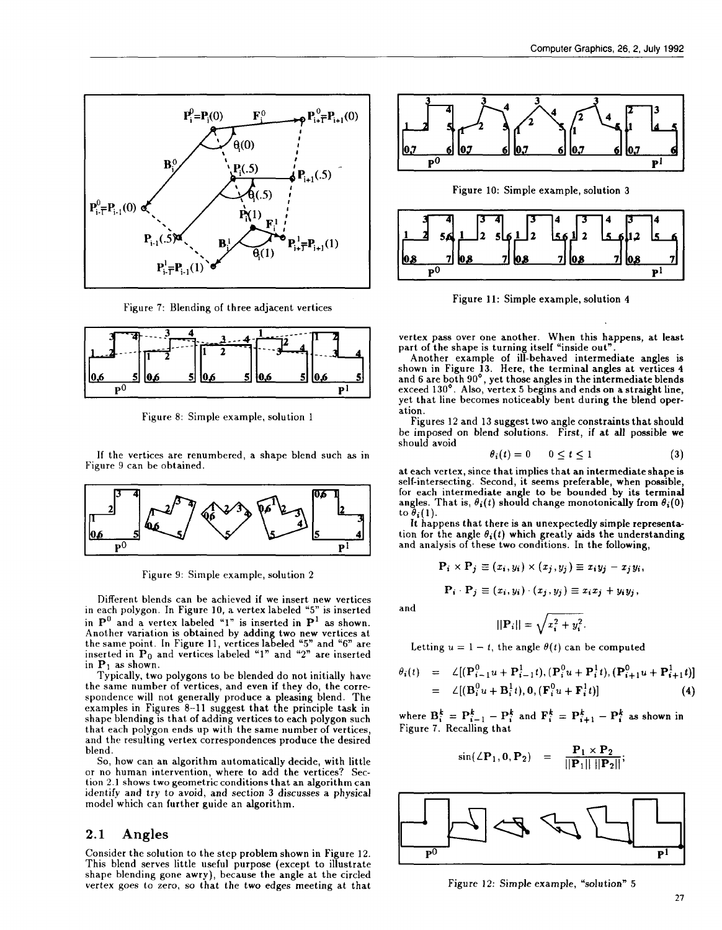

Figure 7: Blending of three adjacent vertices



Figure 8: Simple example, solution 1

If the vertices are renumbered, a shape blend such as in Figure 9 can be obtained.



Figure 9: Simple example, solution 2

Different blends can be achieved if we insert new vertices in each polygon. In Figure 10, a vertex labeled "5" is inserted in  $P^0$  and a vertex labeled "1" is inserted in  $P^1$  as shown. Another variation is obtained by adding two new vertices at the same point. In Figure 11, vertices labeled "5" and "6" are inserted in  $\mathbf{P}_0$  and vertices labeled "1" and "2" are inserte in  $P_1$  as shown.

Typically, two polygons to be blended do not initially have the same number of vertices, and even if they do, the correspondence will not generally produce a pleasing blend. The examples in Figures 8–11 suggest that the principle task in shape blending is that of adding vertices to each polygon such that each polygon ends up with the same number of vertices, and the resulting vertex correspondences produce the desired blend.

So, how can an algorithm automatically decide, with little or no human intervention, where to add the vertices? Section 2.] shows two geometric conditions that an algorithm can identify and try to avoid, and section 3 discusses a physical model which can further guide an algorithm.

#### 2.1 Angles

Consider the solution to the step problem shown in Figure 12. This blend serves little useful purpose (except to illustrate shape blending gone awry), because the angle at the circled vertex goes to zero, so that the two edges meeting at that



Figure 10: Simple example, solution 3



Figure 11: Simple example, solution 4

vertex pass over one another. When this happens, at least part of the shape is turning itself "inside out"

Another example of ill-behaved intermediate angles is shown in Figure 13. Here, the terminal angles at vertices 4 and 6 are both 90°, yet those angles in the intermediate blend exceed 130°. Also, vertex 5 begins and ends on a straight line, yet that line becomes noticeably bent during the blend operation.

Figures 12 and 13 suggest two angle constraints that should be imposed on blend solutions. First, if at all possible we should avoid

$$
\theta_i(t) = 0 \qquad 0 \le t \le 1 \tag{3}
$$

at each vertex, since that implies that an intermediate shape is self-intersecting. Second, it seems preferable, when possible, for each intermediate angle to be bounded by its terminal angles. That is,  $\theta_i(t)$  should change monotonically from  $\theta_i(0)$ to  $\theta_i(1)$ .

It happens that there is an unexpectedly simple representation for the angle  $\theta_i(t)$  which greatly aids the understanding and analysis of these two conditions. In the following,

$$
\mathbf{P}_i \times \mathbf{P}_j \equiv (x_i, y_i) \times (x_j, y_j) \equiv x_i y_j - x_j y_i,
$$
  

$$
\mathbf{P}_i \cdot \mathbf{P}_j \equiv (x_i, y_i) \cdot (x_j, y_j) \equiv x_i x_j + y_i y_j,
$$

and

$$
||\mathbf{P}_i|| = \sqrt{x_i^2 + y_i^2}.
$$

Letting  $u = 1 - t$ , the angle  $\theta(t)$  can be computed

$$
\theta_i(t) = \angle [(\mathbf{P}_{i-1}^0 u + \mathbf{P}_{i-1}^1 t), (\mathbf{P}_i^0 u + \mathbf{P}_i^1 t), (\mathbf{P}_{i+1}^0 u + \mathbf{P}_{i+1}^1 t)]
$$
  
=  $\angle [(\mathbf{B}_i^0 u + \mathbf{B}_i^1 t), \mathbf{0}, (\mathbf{F}_i^0 u + \mathbf{F}_i^1 t)]$  (4)

where  $B_i^k = P_{i-1}^k - P_i^k$  and  $F_i^k = P_{i+1}^k - P_i^k$  as shown in Figure 7. Recalling that

$$
\sin(\angle P_1, 0, P_2) = \frac{P_1 \times P_2}{||P_1|| ||P_2||};
$$



Figure 12: Simple example, "solution" 5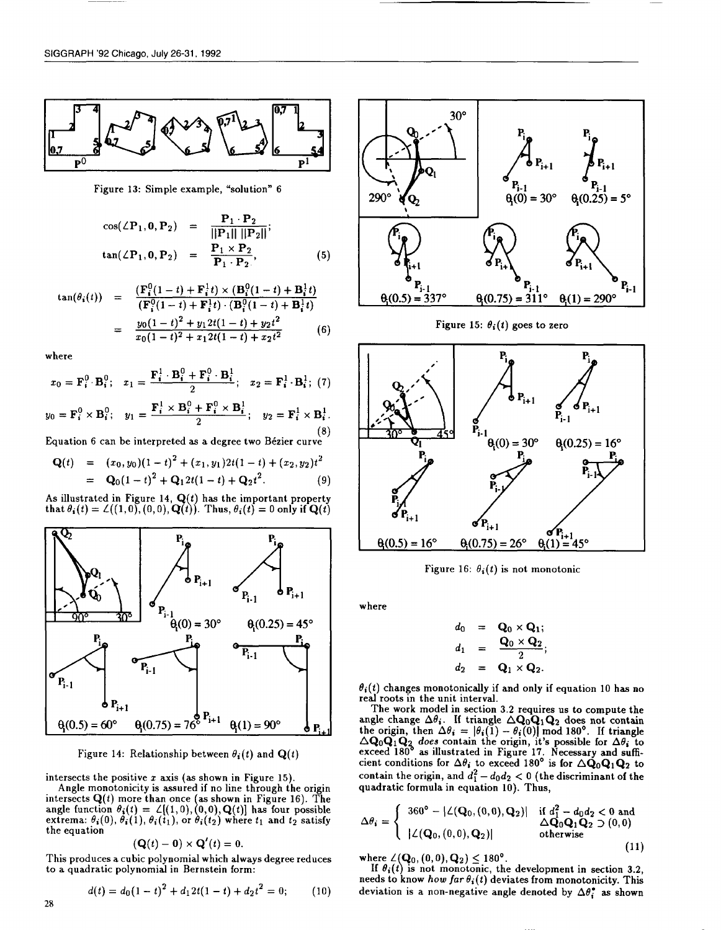

Figure 13: Simple example, "solution" 6

$$
\cos(\angle P_1, 0, P_2) = \frac{P_1 \cdot P_2}{\|\mathbf{P}_1\| \|\mathbf{P}_2\|};
$$
  
\n
$$
\tan(\angle P_1, 0, P_2) = \frac{P_1 \times P_2}{P_1 \cdot P_2},
$$
\n(5)

$$
\tan(\theta_i(t)) = \frac{\left(\mathbf{F}_i^0(1-t) + \mathbf{F}_i^1 t\right) \times \left(\mathbf{B}_i^0(1-t) + \mathbf{B}_i^1 t\right)}{\left(\mathbf{F}_i^0(1-t) + \mathbf{F}_i^1 t\right) \cdot \left(\mathbf{B}_i^0(1-t) + \mathbf{B}_i^1 t\right)}
$$
  
= 
$$
\frac{y_0(1-t)^2 + y_1 2t(1-t) + y_2 t^2}{x_0(1-t)^2 + x_1 2t(1-t) + x_2 t^2}
$$
 (6)

where

$$
x_0 = \mathbf{F}_i^0 \cdot \mathbf{B}_i^0; \quad x_1 = \frac{\mathbf{F}_i^1 \cdot \mathbf{B}_i^0 + \mathbf{F}_i^0 \cdot \mathbf{B}_i^1}{2}; \quad x_2 = \mathbf{F}_i^1 \cdot \mathbf{B}_i^1; \tag{7}
$$

$$
y_0 = \mathbf{F}_i^0 \times \mathbf{B}_i^0; \quad y_1 = \frac{\mathbf{F}_i^1 \times \mathbf{B}_i^0 + \mathbf{F}_i^0 \times \mathbf{B}_i^1}{2}; \quad y_2 = \mathbf{F}_i^1 \times \mathbf{B}_i^1. \tag{8}
$$

Equation 6 can be interpreted as a degree two B6zier curve

$$
\mathbf{Q}(t) = (x_0, y_0)(1-t)^2 + (x_1, y_1)2t(1-t) + (x_2, y_2)t^2
$$
  
= 
$$
\mathbf{Q}_0(1-t)^2 + \mathbf{Q}_1 2t(1-t) + \mathbf{Q}_2 t^2.
$$
 (9)

As illustrated in Figure 14,  $Q(t)$  has the important property that  $\theta_i(t) = \mathcal{L}((1, 0), (0, 0), \mathbf{Q}(t))$ . Thus,  $\theta_i(t) = 0$  only if  $\mathbf{Q}(t)$ 



Figure 14: Relationship between  $\theta_i(t)$  and  $\mathbf{Q}(t)$ 

intersects the positive  $x$  axis (as shown in Figure 15).

Angle monotonicity is assured if no line through the origin  $\epsilon$ intersects  $\mathbf{Q}(t)$  more than once (as shown in Figure 16). The angle function  $\theta_i(t) = \angle[(1,0), (0,0), \mathbf{Q}(t)]$  has four possible extrema:  $\theta_i(0)$ ,  $\theta_i(1)$ ,  $\theta_i(t_1)$ , or  $\theta_i(t_2)$  where  $t_1$  and  $t_2$  satisf the equation

$$
(\mathbf{Q}(t)-\mathbf{0})\times\mathbf{Q}'(t)=0.
$$

This produces a cubic polynomial which always degree reduces to a quadratic polynomial in Bernstein form:

$$
d(t) = d_0(1-t)^2 + d_1 2t(1-t) + d_2 t^2 = 0; \qquad (10)
$$



Figure 15:  $\theta_i(t)$  goes to zero



Figure 16:  $\theta_i(t)$  is not monotonic

where

$$
d_0 = \mathbf{Q}_0 \times \mathbf{Q}_1;
$$
  
\n
$$
d_1 = \frac{\mathbf{Q}_0 \times \mathbf{Q}_2}{2};
$$
  
\n
$$
d_2 = \mathbf{Q}_1 \times \mathbf{Q}_2.
$$

 $\theta_i(t)$  changes monotonically if and only if equation 10 has no real roots in the unit interval.

The work model in section 3.2 requires us to compute the the origin, then  $\Delta\theta_i = |\theta_i(1) - \theta_i(0)| \bmod{180^{\circ}}$ . If triangle  $\Delta Q_0 Q_1 Q_2$  does contain the origin, it's possible for  $\Delta \theta_i$  to exceed 180° as illustrated in Figure 17. Necessary and sufficient conditions for  $\Delta\theta_i$  to exceed 180° is for  $\Delta{\bf Q}_0{\bf Q}_1{\bf Q}_2$  to contain the origin, and  $d_1^2 - d_0 d_2 < 0$  (the discriminant of the quadratic formula in equation 10). Thus,

$$
\Delta \theta_i = \begin{cases}\n360^\circ - |\angle(\mathbf{Q}_0, (0,0), \mathbf{Q}_2)| & \text{if } d_1^2 - d_0 d_2 < 0 \text{ and} \\
|\angle(\mathbf{Q}_0, (0,0), \mathbf{Q}_2)| & \Delta \mathbf{Q}_0 \mathbf{Q}_1 \mathbf{Q}_2 \supset (0,0) \\
\text{otherwise}\n\end{cases}
$$
\n(11)

where  $\angle$  ( $\mathbf{Q}_0$ ,  $(0,0), \mathbf{Q}_2$ )  $\leq 180^{\circ}$ .

If  $\theta_i(t)$  is not monotonic, the development in section 3.2 needs to know how far  $\theta_i(t)$  deviates from monotonicity. This deviation is a non-negative angle denoted by  $\Delta\theta_i^*$  as shown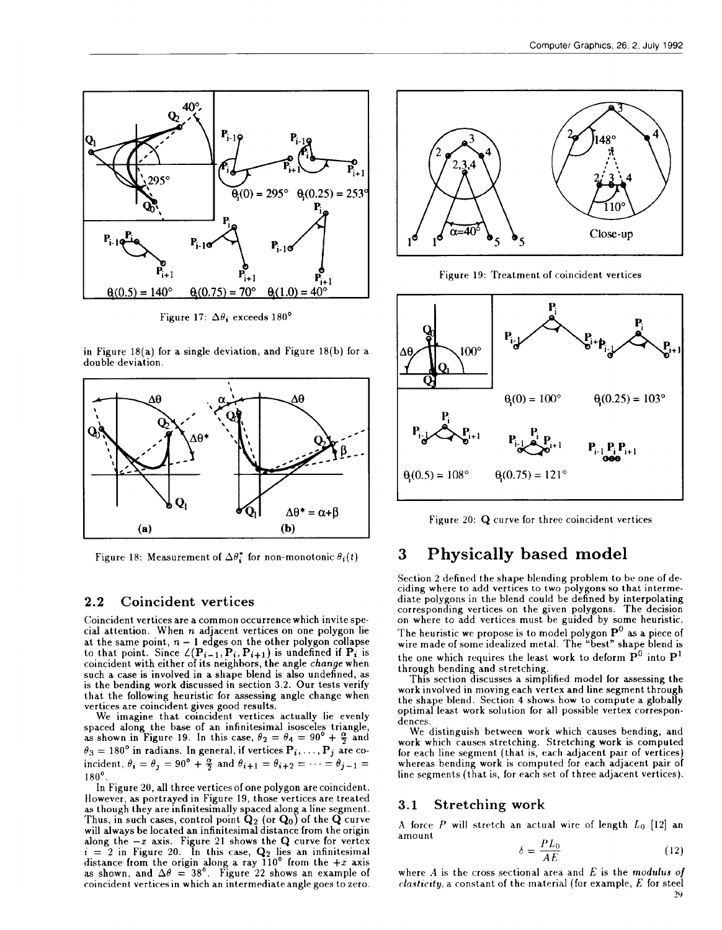

Figure 17:  $\Delta\theta_i$  exceeds 180°

in Figure 18(a) for a single deviation, and Figure 18(b) for a double deviation.



Figure 18: Measurement of  $\Delta \theta_i^*$  for non-monotonic  $\theta_i(t)$ 

#### 2.2 Coincident vertices

Coincident vertices are a common occurrence which invite special attention. When  $n$  adjacent vertices on one polygon lie at the same point,  $n-1$  edges on the other polygon collaps to that point. Since  $\angle(\mathbf{P}_{i-1}, \mathbf{P}_i, \mathbf{P}_{i+1})$  is undefined if  $\mathbf{P}_i$  is coincident with either of its neighbors, the angle change when such a case is involved in a shape blend is also undefined, as is the bending work discussed in section 3.2. Our tests verify that the following heuristic for assessing angle change when vertices are coincident gives good results.

We imagine that coincident vertices actually lie evenly spaced along the base of an infinitesimal isosceles triangle as shown in Figure 19. In this case,  $\theta_2 = \theta_4 = 90^{\circ} + \frac{10}{2}$  and  $\theta_3 = 180^\circ$  in radians. In general, if vertices  $\mathbf{P}_i, \dots, \mathbf{P}_j$  are coincident,  $\theta_i = \theta_j = 90^\circ + \frac{\alpha}{2}$  and  $\theta_{i+1} = \theta_{i+2} = \cdots = \theta_{i-1} = \frac{\alpha}{2}$ 180°.

In Figure 20, all three vertices of one polygon are coincident. However, as portrayed in Figure 19, those vertices are treated as though they are infinitesimally spaced along a line segment. Thus, in such cases, control point  $\mathbf{Q}_2$  (or  $\mathbf{Q}_0$ ) of the  $\mathbf{Q}$  curve will always be located an infinitesimal distance from the origin along the  $-x$  axis. Figure 21 shows the  ${\bf Q}$  curve for verte  $i = 2$  in Figure 20. In this case,  $\mathbf{Q}_2$  lies an infinitesim distance from the origin along a ray  $110^{\circ}$  from the  $+x$  axis as shown, and  $\Delta\theta~=~38^{\circ}.~\,$  Figure 22 shows an example of coincident vertices in which an inter mediate angle goes to zero.



Figure 19: Treatment of coincident vertices



Figure 20: Q curve for three coincident vertices

# **3 Physically based model**

Section 2 defined the shape blending problem to be one of deciding where to add vertices to two polygons so that intermediate polygons in the blend could be defined by interpolating corresponding vertices on the given polygons. The decisio on where to add vertices must be guided by some heuristi The heuristic we propose is to model polygon  $\mathbf{P}^{\cup}$  as a piece of wire made of some idealized metal. The "best" shape blend is the one which requires the least work to deform  $\tilde{\mathbf{P}}^0$  into  $\mathbf{P}^1$ through bending and stretching.

This section discusses a simplified model for assessing the work involved in moving each vertex and line segment through the shape blend. Section 4 shows how to compute a globally optimal least work solution for all possible vertex correspondences.

We distinguish between work which causes bending, and work which causes stretching. Stretching work is computed for each line segment (that is, each adjacent pair of vertices) whereas bending work is computed for each adjacent pair of line segments (that is, for each set of three adjacent vertices).

#### 3.1 Stretching work

A force  $P$  will stretch an actual wire of length  $L_0$  [12] an amount

$$
\delta = \frac{PL_0}{AE} \tag{12}
$$

where  $A$  is the cross sectional area and  $E$  is the modulus of  $elasticity$ , a constant of the material (for example,  $E$  for steel 29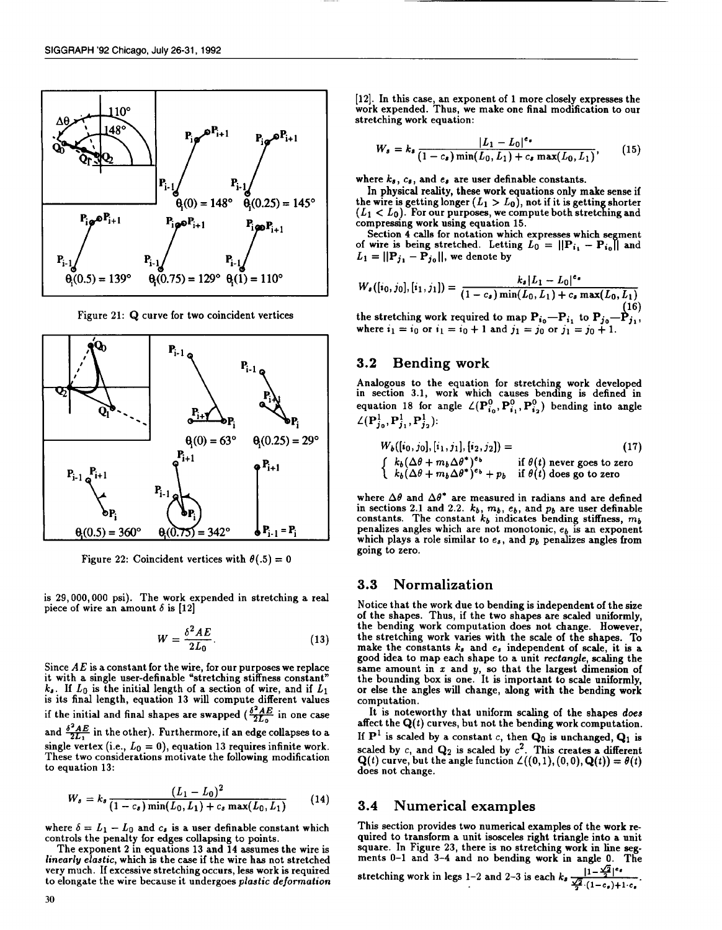

Figure 21: Q curve for two coincident vertices



Figure 22: Coincident vertices with  $\theta(.5) = 0$ 

is 29,000,000 psi). The work expended in stretching a real piece of wire an amount  $\delta$  is [12]

$$
W = \frac{\delta^2 AE}{2L_0}.
$$
 (13)

Since  $AE$  is a constant for the wire, for our purposes we replace it with a single user-definable "stretching stiffness constant"  $k_s$ . If  $L_0$  is the initial length of a section of wire, and if  $L_1$ is its final length, equation 13 will compute different value if the initial and final shapes are swapped  $(\frac{\delta^2 AE}{2L_0})$  in one case and  $\frac{\delta^2 AE}{2L_1}$  in the other). Furthermore, if an edge collapses to a single vertex (i.e.,  $L_0 = 0$ ), equation 13 requires infinite work. These two considerations motivate the following modification to equation 13:

$$
W_s = k_s \frac{(L_1 - L_0)^2}{(1 - c_s) \min(L_0, L_1) + c_s \max(L_0, L_1)}
$$
(14)

where  $\delta = L_1 - L_0$  and  $c_s$  is a user definable constant which controls the penalty for edges collapsing to points.

The exponent 2 in equations 13 and 14 assumes the wire is linearly elastic, which is the case if the wire has not stretched very much. If excessive st retching occurs, less work is required to elongate the wire because it undergoes plastic deformation

[12]. In this case, an exponent of 1 more closely expresses the work expended. Thus, we make one final modification to our stretching work equation:

$$
W_s = k_s \frac{|L_1 - L_0|^{\epsilon} \cdot}{(1 - c_s) \min(L_0, L_1) + c_s \max(L_0, L_1)},
$$
 (15)

where  $k_s$ ,  $c_s$ , and  $e_s$  are user definable constants.

In physical reality, these work equations only make sense if the wire is getting longer  $(L_1 > L_0)$ , not if it is getting shorter  $(L_1 < L_0)$ . For our purposes, we compute both stretching and compressing work using equation 15.

Section 4 calls for notation which expresses which segmen of wire is being stretched. Letting  $L_0 = ||\mathbf{P}_{i_1} - \mathbf{P}_{i_0}||$  and  $L_1 = ||\mathbf{P}_{j_1} - \mathbf{P}_{j_0}||$ , we denote by

$$
W_{\bullet}([i_0, j_0], [i_1, j_1]) = \frac{k_{\bullet} |L_1 - L_0|^{\epsilon_{\bullet}}}{(1 - c_{\bullet}) \min(L_0, L_1) + c_{\bullet} \max(L_0, L_1)}
$$
(16)

16)<br>the stretching work required to map  $\mathbf{P}_{i_0}$ — $\mathbf{P}_{i_1}$ , to  $\mathbf{P}_{j_0}$ — $\mathbf{P}_{j_1}$ where  $i_1=i_0$  or  $i_1=i_0+1$  and  $j_1=j_0$  or j

#### 3.2 Bending work

Analogous to the equation for stretching work developed in section 3.1, work which causes bending is defined in equation 18 for angle  $\angle (P_{i_0}^0, P_{i_1}^0, P_{i_2}^0)$  bending into angle  $\angle (P_{j_0}^1, P_{j_1}^1, P_{j_2}^1)$ :

$$
W_b([i_0, j_0], [i_1, j_1], [i_2, j_2]) =
$$
\n
$$
\begin{cases}\nk_b(\Delta\theta + m_b \Delta\theta^*)^{e_b} & \text{if } \theta(t) \text{ never goes to zero} \\
k_b(\Delta\theta + m_b \Delta\theta^*)^{e_b} + p_b & \text{if } \theta(t) \text{ does go to zero}\n\end{cases}
$$
\n(17)

where  $\Delta\theta$  and  $\Delta\theta^*$  are measured in radians and are defined in sections 2.1 and 2.2.  $k_b$ ,  $m_b$ ,  $e_b$ , and  $p_b$  are user definable that  $p_b$ constants. The constant  $k_b$  indicates bending stiffness,  $m_b$ penalizes angles which are not monotonic,  $e_b$  is an exponent which plays a role similar to  $e_s$ , and  $p_b$  penalizes angles from going to zero.

#### 3.3 Normalization

Notice that the work due to bending is independent of the size of the shapes. Thus, if the two shapes are scaled uniformly, the bending work computation does not change. However, the stretching work varies with the scale of the shapes. To make the constants  $k_s$  and  $e_s$  independent of scale, it is a good idea to map each shape to a unit rectangle, scaling the same amount in  $x$  and  $y$ , so that the largest dimension of the bounding box is one. It is important to scale uniformly or else the angles will change, along with the bending work computation.

It is noteworthy that uniform scaling of the shapes *does* affect the  $Q(t)$  curves, but not the bending work computation. If  $P<sup>1</sup>$  is scaled by a constant c, then  $Q<sub>0</sub>$  is unchanged,  $Q<sub>1</sub>$  is scaled by c, and  $\mathbf{Q}_2$  is scaled by  $c^2$ . This creates a different  $\mathbf{Q}(t)$  curve, but the angle function  $\angle((0,1),(0,0),\mathbf{Q}(t))=\theta(t)$ does not change.

#### 3.4 Numerical examples

This section provides two numerical examples of the work required to transform a unit isosceles right triangle into a unit square. In Figure 23, there is no stretching work in line segments O–1 and 3–4 and no bending work in angle O. The

stretching work in legs 1-2 and 2-3 is each  $k_s = \frac{|1-\sqrt{2}|}{2}$  $\frac{\sqrt{2}}{2} \cdot (1 - c_{\bullet}) + 1 \cdot c_{\bullet}$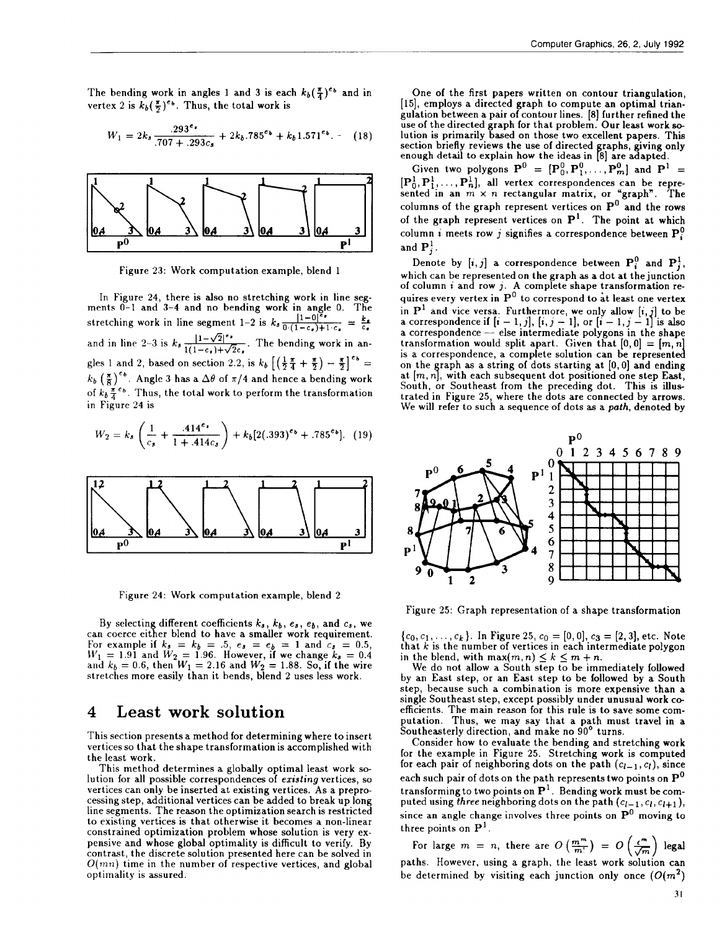The bending work in angles 1 and 3 is each  $k_b(\frac{\pi}{4})^{e_b}$  and in vertex 2 is  $k_b(\frac{\pi}{2})^{e_b}$ . Thus, the total work is

$$
W_1 = 2k_s \frac{.293^{e_*}}{.707 + .293c_s} + 2k_b.785^{e_b} + k_b 1.571^{e_b}.
$$
 (18)



Figure 23: Work computation example, blend 1

In Figure 24, there is also no stretching work in line seg-<br>ments 0-1 and 3-4 and no bending work in angle 0. The stretching work in line segment 1–2 is  $k_s \frac{|1-0|^{e_s}}{0\cdot(1-c_s)+1\cdot c_s}$ and in line 2–3 is  $k_3 \frac{1-\sqrt{2}}{1(1-\epsilon_4)+\sqrt{2}\epsilon_4}$ . The bending work in angies 1 and 2, based on section 2.2, is  $k_b$   $\left[\left(\frac{1}{2} \frac{1}{4} + \frac{1}{2}\right) - \frac{1}{2}\right]$  =  $k_b$   $(\frac{\pi}{8})^{e_b}$ . Angle 3 has a  $\Delta\theta$  of  $\pi/4$  and hence a bending work of  $k_b \frac{\pi}{4} e_b$ . Thus, the total work to perform the transformation in Figure 24 is

$$
W_2 = k_s \left( \frac{1}{c_s} + \frac{.414^e \cdot}{1 + .414c_s} \right) + k_b [2(.393)^{e_b} + .785^{e_b}]. \tag{19}
$$



Figure 24: Work computation example, blend 2

By selecting different coefficients  $k_{s},\,k_{b},\,e_{s},\,e_{b},\,$  and  $c_{s},\,$  we can coerce either blend to have a smaller work requiremei For example if  $k_s = k_b = .5, e_s = e_b = 1$  and  $c_s = 0.5$  $W_1 = 1.91$  and  $W_2 = 1.96$ . However, if we change  $k_s = 0.4$ and  $k_b = 0.6,$  then  $W_1 = 2.16$  and  $W_2 = 1.88.$  So, if the wire stretches more easily than it bends, blend 2 uses less work.

# **4 Least work solution**

This section presents a method for determining where to insert vertices so that the shape transformation is accomplished with the least work.

This method determines a globally optimal least work solution for all possible correspondences of existing vertices, so vertices can only be inserted at existing vertices. As a preprocessing step, additional vertices can be added to break up long line segments. The reason the optimization search is restricted to existing vertices is that otherwise it becomes a non-linear constrained optimization problem whose solution is very expensive and whose global optimality is difficult to verify. By contrast, the discrete solution presented here can be solved in  $O(mn)$  time in the number of respective vertices, and global optimality is assured.

One of the first papers written on contour triangulation, [15], employs a directed graph to compute an optimal triangulation between a pair of contour lines. [8] further refined the use of the directed graph for that problem. Our least work **s** lution is primarily based on those two excellent papers. Thi section briefly reviews the use of directed graphs, giving only enough detail to explain how the ideas in [8] are adapte

Given two polygons  $\mathbf{P}^0 = [\mathbf{P}_0^0, \mathbf{P}_1^0, \dots, \mathbf{P}_m^0]$  and  $\mathbf{P}^1 =$  $[P_0^1, P_1^1, \ldots, P_n^1]$ , all vertex correspondences can be repre sented in an  $m \times n$  rectangular matrix, or "graph". The columns of the graph represent vertices on  $\mathbf{P}^{\circ}$  and the rows of the graph represent vertices on  $P<sup>1</sup>$ . The point at which column i meets row j signifies a correspondence between  $P_i^0$ . and  $\mathbf{P}_i^1$ .

Denote by  $[i, j]$  a correspondence between  $\mathbf{P}_i^0$  and  $\mathbf{P}_i^1$ , which can be represented on the graph as a dot at the junctic of column i and row j. A complete shape transformation requires every vertex in  $P^0$  to correspond to at least one vertex in  $P^+$  and vice versa. Furthermore, we only allow  $[i, j]$  to be a correspondence il  $[i - 1, j]$ ,  $[i, j - 1]$ , or  $[i - 1, j - 1]$  is also a correspondence — else intermediate polygons in the shap transformation would split apart. Given that  $[0, 0] = [m, n]$ is a correspondence, a complete solution can be represented on the graph as a string of dots starting at  $[0, 0]$  and ending at  $[m, n]$ , with each subsequent dot positioned one step East, South, or Southeast from the preceding dot. This is illustrated in Figure 25, where the dots are connected by arrows. We will refer to such a sequence of dots as a *path*, denoted by



Figure 25: Graph representation of a shape transformation

 ${c_0, c_1, \ldots, c_k}$ . In Figure 25,  $c_0 = [0, 0], c_3 = [2, 3],$  etc. Note that  $k$  is the number of vertices in each intermediate polygon in the blend, with  $\max(m, n) \leq k \leq m + n$ .

We do not allow a South step to be immediately followed by an East step, or an East step to be followed by a South step, because such a combination is more expensive than a single Southeast step, except possibly under unusual work coefficients. The main reason for this rule is to save some computation. Thus, we may say that a path must travel in a Southeasterly direction, and make no 90° turns.

Consider how to evaluate the bending and stretching work for the example in Figure 25. Stretching work is computed for each pair of neighboring dots on the path  $(c_{l-1}, c_l)$ , since each such pair of dots on the path represents two points on  $P^0$ transforming to two points on  $P<sup>1</sup>$ . Bending work must be computed using three neighboring dots on the path  $(c_{l-1}, c_l, c_{l+1}),$ since an angle change involves three points on  $P^0$  moving to three points on  $P<sup>1</sup>$ .

For large  $m = n$ , there are  $O\left(\frac{m^m}{m!}\right) = O\left(\frac{\epsilon^m}{\sqrt{m}}\right)$  legal paths. However, using a graph, the least work solution can be determined by visiting each junction only once  $(O(m^2))$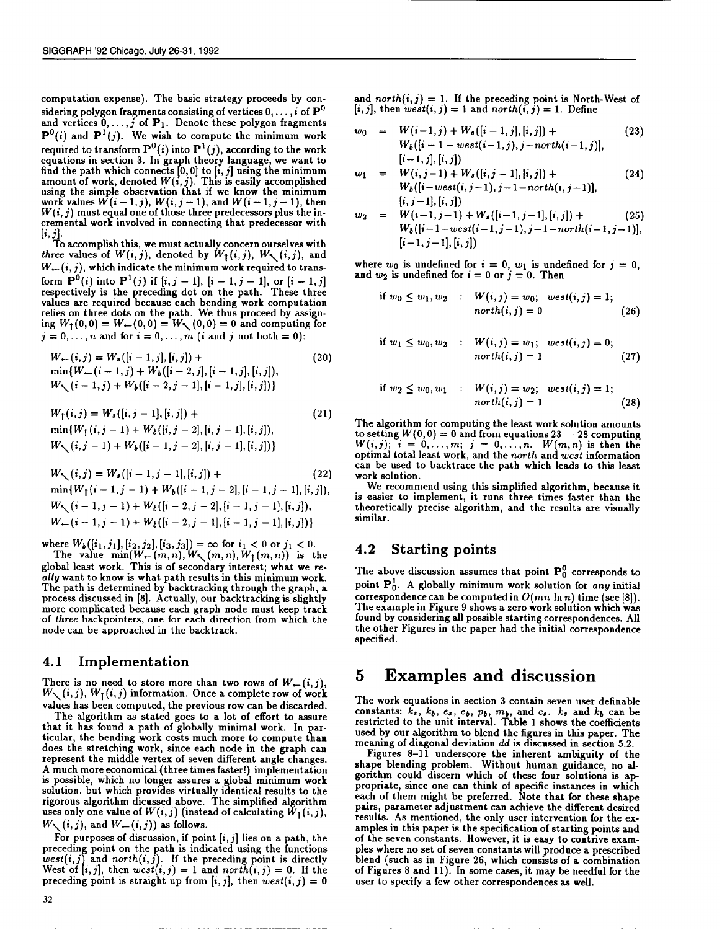computation expense). The basic strategy proceeds by considering polygon fragments consisting of vertices  $0, \ldots, i$  of  $\mathbf{P}^0$ and vertices  $0, \ldots, j$  of  $P_1$ . Denote these polygon fragments  $P^0(i)$  and  $P^1(j)$ . We wish to compute the minimum work  $P^{\circ}(t)$  and  $P^{\circ}(j)$ . We wish to compute the minimum work required to transform  $P^-(t)$  into  $P^-(j)$ , according to the work equations in section 3. In graph theory language, we want to find the path which connects  $[0,0]$  to  $[i, j]$  using the minimum amount of work, denoted  $W(i, j)$ . This is easily accomplished using the simple observation that if we know the minimum work values  $W(i - 1, j)$ ,  $W(i, j - 1)$ , and  $W(i - 1, j - 1)$ , then  $W(\mathfrak{i},j)$  must equal one of those three predecessors plus the incremental work involved in connecting that predecessor with  $[i, j]$ .

To accomplish this, we must actually concern ourselves with three values of  $W(i, j)$ , denoted by  $W_1(i, j)$ ,  $W_2(i, j)$ , and  $W_{\leftarrow}(i, j)$ , which indicate the minimum work required to transform  $P^{\circ}(i)$  into  $P^{\circ}(j)$  if  $[i, j - 1]$ ,  $[i - 1, j - 1]$ , or  $[i - 1, j]$ respectively is the preceding dot on the path. These thre values are required because each bending work computati relies on three dots on the path. We thus proceed by assigning  $W_1(0,0) = W_-(0,0) = W_1(0,0) = 0$  and computing for  $j=0,\ldots,n$  and for  $i=0,\ldots,m$  (i and j not both = 0):

$$
W_{\leftarrow}(i,j) = W_s([i-1,j],[i,j]) +
$$
  
\n
$$
\min\{W_{\leftarrow}(i-1,j) + W_b([i-2,j],[i-1,j],[i,j])\},\
$$
  
\n
$$
W_{\setminus}(i-1,j) + W_b([i-2,j-1],[i-1,j],[i,j])\}
$$
\n(20)

$$
W_{\uparrow}(i,j) = W_s([i,j-1],[i,j]) +
$$
  
\n
$$
\min\{W_{\uparrow}(i,j-1) + W_b([i,j-2],[i,j-1],[i,j]),\}
$$
  
\n
$$
W_{\searrow}(i,j-1) + W_b([i-1,j-2],[i,j-1],[i,j])\}
$$
\n(21)

$$
W_{\diagdown} (i, j) = W_{s} ([i - 1, j - 1], [i, j]) +
$$
\n
$$
\min \{ W_{\uparrow} (i - 1, j - 1) + W_{b} ([i - 1, j - 2], [i - 1, j - 1], [i, j]) \},
$$
\n
$$
W_{\diagdown} (i - 1, j - 1) + W_{b} ([i - 2, j - 2], [i - 1, j - 1], [i, j]) \},
$$
\n
$$
W_{\diagdown} (i - 1, j - 1) + W_{b} ([i - 2, j - 1], [i - 1, j - 1], [i, j]) \}
$$
\n(22)

where  $W_b([i_1, j_1], [i_2, j_2], [i_3, j_3]) = \infty$  for  $i_1 < 0$  or  $j_1 < 0$ .

i The value  $min(W \leftarrow (m, n), W \setminus (m, n), W \uparrow (m, n))$  is the global least work. This is of secondary interest; what we really want to know is what path results in this minimum work. The path is determined by backtracking through the graph, a process discussed in [8]. Actually, our backtracking is slightl more complicated because each graph node must keep track of three backpointers, one for each direction from which the node can be approached in the backtrack.

#### 4.1 Implementation

There is no need to store more than two rows of  $W_{\leftarrow}(i, j)$ ,  $W_{\nwarrow}(i, j)$ ,  $W_{\uparrow}(i, j)$  information. Once a complete row of work values has been computed, the previous row can be discarded.

The algorithm as stated goes to a lot of effort to assure that it has found a path of globally minimal work. In particular, the bending work costs much more to compute than does the stretching work, since each node in the graph can represent the middle vertex of seven different angle change. A much more economical (three times faster!) implementation is possible, which no longer assures a global minimum work solution, but which provides virtually identical results to the rigorous algorithm dicussed above. The simplified algorithm uses only one value of  $W(i, j)$  (instead of calculating  $\tilde{W}_1(i, j)$ ,  $W_{\nwarrow}(i, j)$ , and  $W_{\leftarrow}(i, j)$ ) as follows.

For purposes of discussion, if point  $\left[\centerdot, \jmath\right]$  lies on a path, the preceding point on the path is indicated using the function 1 preceding point is straight up from  $[t, j]$ , then  $west(i, j) = 0$  $west(i, j)$  and north $(i, j)$ . If the preceding point is directly West of  $[i, j]$ , then  $west(i, j) = 1$  and  $north(i, j) = 0$ . If the

and north $(i, j) = 1$ . If the preceding point is North-West of  $[i, j]$ , then  $\text{west}(i, j) = 1$  and  $\text{north}(i, j) = 1$ . Define

$$
w_0 = W(i-1, j) + W_s([i-1, j], [i, j]) +
$$
  
\n
$$
W_b([i-1-west(i-1, j), j-north(i-1, j)],
$$
  
\n
$$
[i-1, j], [i, j])
$$
\n(23)

$$
w_1 = W(i, j-1) + W_s([i, j-1], [i, j]) +
$$
  
\n
$$
W_b([i-west(i, j-1), j-1-north(i, j-1)],
$$
  
\n
$$
[i, j-1], [i, j])
$$
\n(24)

$$
w_2 = W(i-1, j-1) + W_s([i-1, j-1], [i, j]) +
$$
  
\n
$$
W_b([i-1-west(i-1, j-1), j-1-north(i-1, j-1)],
$$
  
\n
$$
[i-1, j-1], [i, j])
$$
\n(25)

where  $w_0$  is undefined for  $i = 0$ ,  $w_1$  is undefined for  $j = 0$ , and  $w_2$  is undefined for  $i = 0$  or  $j = 0$ . Then

if 
$$
w_0 \le w_1, w_2
$$
 :  $W(i, j) = w_0$ ;  $west(i, j) = 1$ ;  
north $(i, j) = 0$  (26)

if 
$$
w_1 \le w_0, w_2
$$
 :  $W(i, j) = w_1$ ;  $west(i, j) = 0$ ;  
north $(i, j) = 1$  (27)

if 
$$
w_2 \le w_0, w_1
$$
 :  $W(i, j) = w_2$ ;  $west(i, j) = 1$ ;  
north $(i, j) = 1$  (28)

The algorithm for computing the least work solution amounts to setting  $W(0, 0) = 0$  and from equations 23 – 28 computing  $W(i, j);$   $i = 0, \ldots, m; j = 0, \ldots, n$ .  $W(m, n)$  is then the optimal total least work, and the north and west information can be used to backtrace the path which leads to this least work solution.

We recommend using this simplified algorithm, because it is easier to implement, it runs three times faster than the theoretically precise algorithm, and the results are visually similar.

#### 4.2 Starting points

The above discussion assumes that point  $P_0^0$  corresponds to point  $P_0^1$ . A globally minimum work solution for any initial correspondence can be computed in  $O(mn \ln n)$  time (see [8]). The example in Figure 9 shows a zero work solution which was found by considering all possible starting correspondences. All the other Figures in the paper had the initial correspondence specified.

# **5 Examples and discussion**

The work equations in section 3 contain seven user definable constants:  $k_s$ ,  $k_b$ ,  $e_s$ ,  $e_b$ ,  $p_b$ ,  $m_b$ , and  $c_s$ .  $k_s$  and  $k_b$  can be restricted to the unit interval. Table 1 shows the coefficients used by our algorithm to blend the figures in this paper. The meaning of diagonal deviation dd is discussed in section 5.2.

Figures 8-11 underscore the inherent ambiguity of the shape blending problem. Without human guidance, no algorithm could discern which of these four solutions is ap propriate, since one can think of specific instances in which each of them might be preferred. Note that for these shape pairs, parameter adjustment can achieve the different desired results. As mentioned, the only user intervention for the examples in this paper is the specification of starting points and of the seven constants. However, it is easy to contrive examples where no set of seven constants will produce a prescribed blend (such ss in Figure 26, which consists of a combination of Figures 8 and 11). In some cases, it may be needful for the user to specify a few other correspondences as well.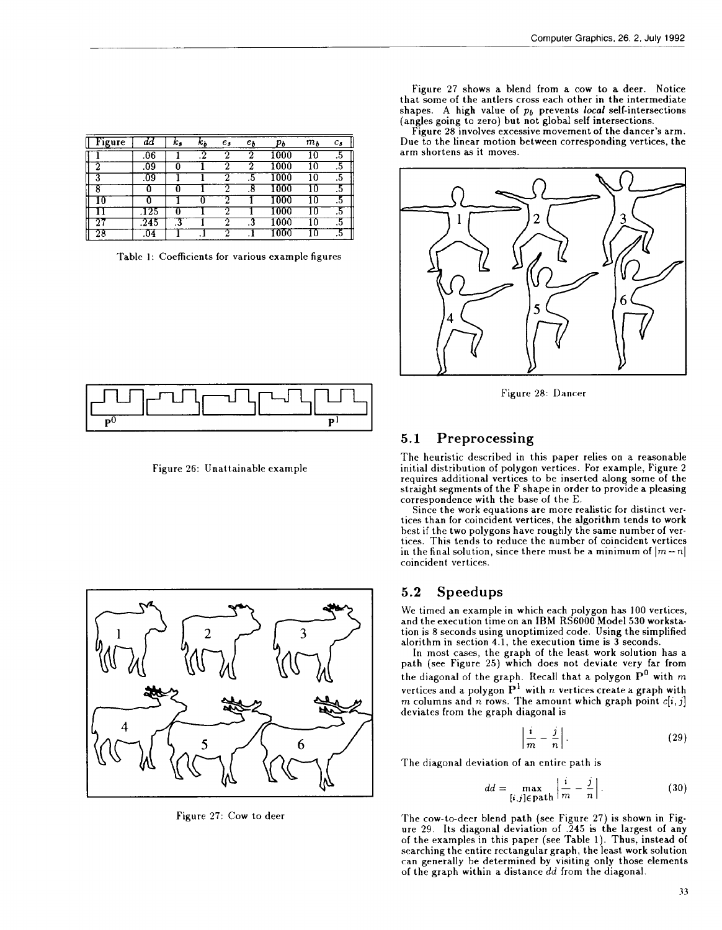| ïgure | aa   | к,  | n n | $e_s$ | $e_b$  | pь   | $m_b$ | $c_{s}$ |
|-------|------|-----|-----|-------|--------|------|-------|---------|
|       | .06  |     |     |       |        | 000  | l O   | ن.      |
|       | 09   |     |     |       |        | 1000 | 10    | .5      |
|       | 09   |     |     |       | $.5\,$ | 1000 | 10    | .5      |
|       |      |     |     |       | о      |      |       | .5      |
|       |      |     |     |       |        |      |       | $\cdot$ |
|       | -25  |     |     |       |        |      |       | ٠.      |
|       | .245 | نه. |     |       | .3     |      |       | $\cdot$ |
| 28    | .U4  |     |     |       |        |      |       | ں،      |

Table 1: Coefficients for various example figures

| 1         <u>           </u> |  | ┌───┐│ │ ┌───╎ │ │ │ │ │ │ |  |
|------------------------------|--|----------------------------|--|
|                              |  |                            |  |

Figure 26: Unattainable example



Figure 27: Cow to deer

Figure 27 shows a blend from a cow to a deer. Notice that some of the antlers cross each other in the intermediate shapes. A high value of  $p_b$  prevents local self-intersections (angles going to zero) but not global self intersections.

Figure 28 involves excessive movement of the dancer's arm. Due to the linear motion between corresponding vertices, the arm shortens as it moves.



Figure 28: Dancer

### 5.1 Preprocessing

The heuristic described in this paper relies on a reasonable initial distribution of polygon vertices. For example, Figure 2 requires additional vertices to be inserted along some of the straight segments of the F shape in order to provide a pleasing correspondence with the base of the E.

Since the work equations are more realistic for distinct vertices than for coincident vertices, the algorithm tends to work best if the two polygons have roughly the same number of vertices. This tends to reduce the number of coincident vertices in the final solution, since there must be a minimum of  $|m-n|$ coincident vertices.

#### 5.2 Speedups

We timed an example in which each polygon has 100 vertices, and the execution time on an IBM RS6000 Model 530 workstation is 8 seconds using unoptimized code. Using the simplified alorithm in section 4.1, the execution time is 3 seconds.

In most cases, the graph of the Ieaxt work solution has a path (see Figure 25) which does not deviate very far from the diagonal of the graph. Recall that a polygon  $\mathbf{P}^{0}$  with  $m$ vertices and a polygon  $\mathbf{P}^1$  with  $n$  vertices create a graph with  $m$  columns and  $n$  rows. The amount which graph point  $c[i, j]$ deviates from the graph diagonal is

$$
\left|\frac{i}{m} - \frac{j}{n}\right|.\tag{29}
$$

The diagonal deviation of an entire path is

$$
dd = \max_{\left[i,j\right] \in \text{path}} \left| \frac{i}{m} - \frac{j}{n} \right|.
$$
 (30)

The cow-to-deer blend path (see Figure 27) is shown in Figure 29. Its diagonal deviation of .245 is the largest of any of the examples in this paper (see Table 1). Thus, instead of searching the entire rectangular graph, the least work solution can generally be determined by visiting only those elements of the graph within a distance dd from the diagonal.